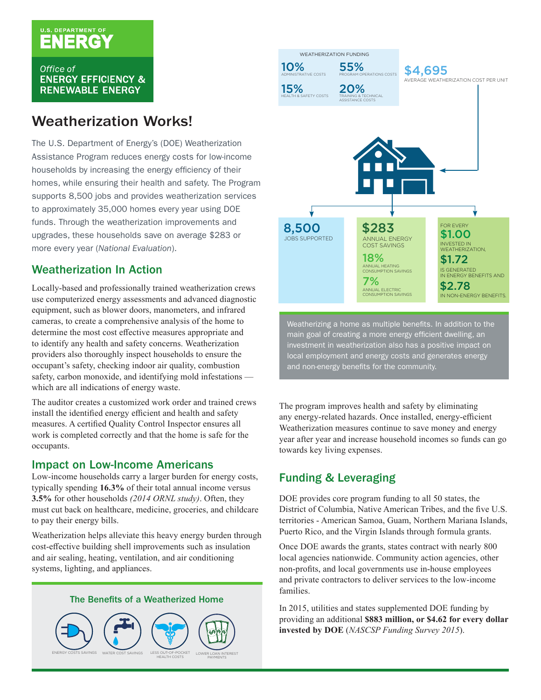# U.S. DEPARTMENT OF

Office of **ENERGY EFFICIENCY & RENEWABLE ENERGY** 

## Weatherization Works!

The U.S. Department of Energy's (DOE) Weatherization Assistance Program reduces energy costs for low-income households by increasing the energy efficiency of their homes, while ensuring their health and safety. The Program supports 8,500 jobs and provides weatherization services to approximately 35,000 homes every year using DOE funds. Through the weatherization improvements and upgrades, these households save on average \$283 or more every year (*National Evaluation*).

## Weatherization In Action

Locally-based and professionally trained weatherization crews use computerized energy assessments and advanced diagnostic equipment, such as blower doors, manometers, and infrared cameras, to create a comprehensive analysis of the home to determine the most cost effective measures appropriate and to identify any health and safety concerns. Weatherization providers also thoroughly inspect households to ensure the occupant's safety, checking indoor air quality, combustion safety, carbon monoxide, and identifying mold infestations which are all indications of energy waste.

The auditor creates a customized work order and trained crews install the identified energy efficient and health and safety measures. A certified Quality Control Inspector ensures all work is completed correctly and that the home is safe for the occupants.

#### Impact on Low-Income Americans

Low-income households carry a larger burden for energy costs, typically spending **16.3%** of their total annual income versus **3.5%** for other households *(2014 ORNL study)*. Often, they must cut back on healthcare, medicine, groceries, and childcare to pay their energy bills.

Weatherization helps alleviate this heavy energy burden through cost-effective building shell improvements such as insulation and air sealing, heating, ventilation, and air conditioning systems, lighting, and appliances.

#### The Benefits of a Weatherized Home





main goal of creating a more energy efficient dwelling, an investment in weatherization also has a positive impact on local employment and energy costs and generates energy and non-energy benefits for the community.

The program improves health and safety by eliminating any energy-related hazards. Once installed, energy-efficient Weatherization measures continue to save money and energy year after year and increase household incomes so funds can go towards key living expenses.

## Funding & Leveraging

DOE provides core program funding to all 50 states, the District of Columbia, Native American Tribes, and the five U.S. territories - American Samoa, Guam, Northern Mariana Islands, Puerto Rico, and the Virgin Islands through formula grants.

Once DOE awards the grants, states contract with nearly 800 local agencies nationwide. Community action agencies, other non-profits, and local governments use in-house employees and private contractors to deliver services to the low-income families.

In 2015, utilities and states supplemented DOE funding by providing an additional **\$883 million, or \$4.62 for every dollar invested by DOE** (*NASCSP Funding Survey 2015*).